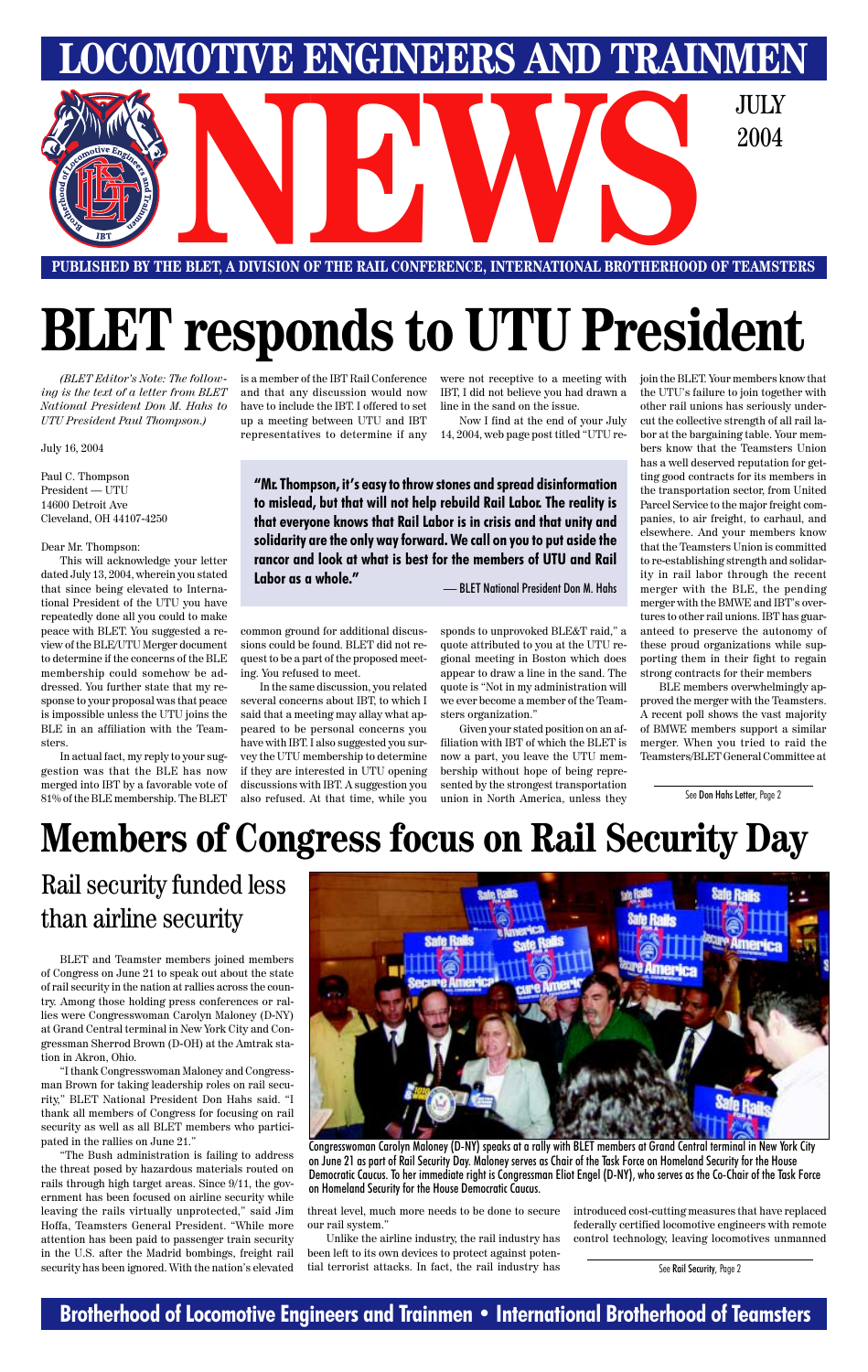### **Brotherhood of Locomotive Engineers and Trainmen • International Brotherhood of Teamsters**



*(BLET Editor's Note: The following is the text of a letter from BLET National President Don M. Hahs to UTU President Paul Thompson.)*

July 16, 2004

Paul C. Thompson  $President - \overline{U}$ 14600 Detroit Ave Cleveland, OH 44107-4250

Dear Mr. Thompson:

This will acknowledge your letter dated July 13, 2004, wherein you stated that since being elevated to International President of the UTU you have repeatedly done all you could to make peace with BLET. You suggested a review of the BLE/UTU Merger document to determine if the concerns of the BLE membership could somehow be addressed. You further state that my response to your proposal was that peace is impossible unless the UTU joins the BLE in an affiliation with the Teamsters.

In actual fact, my reply to your suggestion was that the BLE has now merged into IBT by a favorable vote of 81% of the BLE membership. The BLET is a member of the IBT Rail Conference and that any discussion would now have to include the IBT. I offered to set up a meeting between UTU and IBT representatives to determine if any

common ground for additional discussions could be found. BLET did not request to be a part of the proposed meeting. You refused to meet.

In the same discussion, you related several concerns about IBT, to which I said that a meeting may allay what appeared to be personal concerns you have with IBT. I also suggested you survey the UTU membership to determine if they are interested in UTU opening discussions with IBT. A suggestion you also refused. At that time, while you

**"Mr. Thompson, it's easy to throw stones and spread disinformation to mislead, but that will not help rebuild Rail Labor. The reality is that everyone knows that Rail Labor is in crisis and that unity and solidarity are the only way forward. We call on you to put aside the rancor and look at what is best for the members of UTU and Rail Labor as a whole." 1988** — BLET National President Don M. Hahs

IBT, I did not believe you had drawn a line in the sand on the issue.

Now I find at the end of your July 14, 2004, web page post titled "UTU re-

sponds to unprovoked BLE&T raid," a quote attributed to you at the UTU regional meeting in Boston which does appear to draw a line in the sand. The quote is "Not in my administration will we ever become a member of the Teamsters organization."

Given your stated position on an affiliation with IBT of which the BLET is now a part, you leave the UTU membership without hope of being represented by the strongest transportation union in North America, unless they

were not receptive to a meeting with join the BLET. Your members know that the UTU's failure to join together with other rail unions has seriously undercut the collective strength of all rail labor at the bargaining table. Your members know that the Teamsters Union has a well deserved reputation for getting good contracts for its members in the transportation sector, from United Parcel Service to the major freight companies, to air freight, to carhaul, and elsewhere. And your members know that the Teamsters Union is committed to re-establishing strength and solidarity in rail labor through the recent merger with the BLE, the pending merger with the BMWE and IBT's overtures to other rail unions. IBT has guaranteed to preserve the autonomy of these proud organizations while supporting them in their fight to regain strong contracts for their members

> BLE members overwhelmingly approved the merger with the Teamsters. A recent poll shows the vast majority of BMWE members support a similar merger. When you tried to raid the Teamsters/BLET General Committee at

# **BLET responds to UTU President**

See Don Hahs Letter, Page 2

Congresswoman Carolyn Maloney (D-NY) speaks at a rally with BLET members at Grand Central terminal in New York City on June 21 as part of Rail Security Day. Maloney serves as Chair of the Task Force on Homeland Security for the House Democratic Caucus. To her immediate right is Congressman Eliot Engel (D-NY), who serves as the Co-Chair of the Task Force on Homeland Security for the House Democratic Caucus.

# **Members of Congress focus on Rail Security Day**

### Rail security funded less than airline security

BLET and Teamster members joined members of Congress on June 21 to speak out about the state of rail security in the nation at rallies across the country. Among those holding press conferences or rallies were Congresswoman Carolyn Maloney (D-NY) at Grand Central terminal in New York City and Congressman Sherrod Brown (D-OH) at the Amtrak station in Akron, Ohio. "I thank Congresswoman Maloney and Congressman Brown for taking leadership roles on rail security," BLET National President Don Hahs said. "I thank all members of Congress for focusing on rail security as well as all BLET members who participated in the rallies on June 21." "The Bush administration is failing to address the threat posed by hazardous materials routed on rails through high target areas. Since 9/11, the government has been focused on airline security while leaving the rails virtually unprotected," said Jim Hoffa, Teamsters General President. "While more attention has been paid to passenger train security in the U.S. after the Madrid bombings, freight rail security has been ignored. With the nation's elevated



threat level, much more needs to be done to secure our rail system."

Unlike the airline industry, the rail industry has been left to its own devices to protect against potential terrorist attacks. In fact, the rail industry has introduced cost-cutting measures that have replaced federally certified locomotive engineers with remote control technology, leaving locomotives unmanned

See Rail Security, Page 2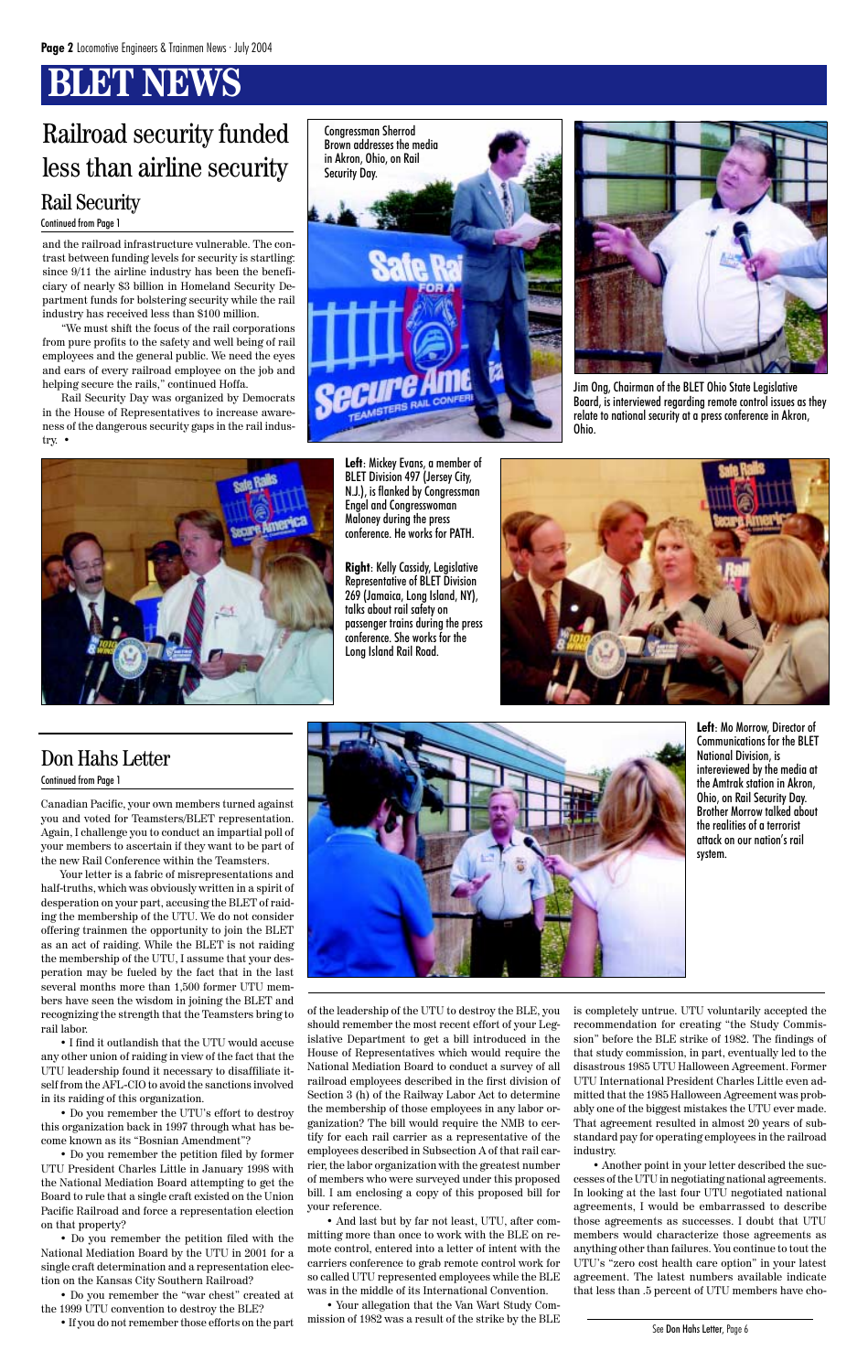# **BLET NEWS**

and the railroad infrastructure vulnerable. The contrast between funding levels for security is startling: since 9/11 the airline industry has been the beneficiary of nearly \$3 billion in Homeland Security Department funds for bolstering security while the rail industry has received less than \$100 million.

"We must shift the focus of the rail corporations from pure profits to the safety and well being of rail employees and the general public. We need the eyes and ears of every railroad employee on the job and helping secure the rails," continued Hoffa.

Rail Security Day was organized by Democrats in the House of Representatives to increase awareness of the dangerous security gaps in the rail industry. •



**Left**: Mo Morrow, Director of Communications for the BLET National Division, is intereviewed by the media at the Amtrak station in Akron, Ohio, on Rail Security Day. Brother Morrow talked about the realities of a terrorist attack on our nation's rail system.

### Railroad security funded less than airline security Rail Security

**Left**: Mickey Evans, a member of BLET Division 497 (Jersey City, N.J.), is flanked by Congressman Engel and Congresswoman Maloney during the press conference. He works for PATH.

**Right**: Kelly Cassidy, Legislative Representative of BLET Division 269 (Jamaica, Long Island, NY), talks about rail safety on passenger trains during the press conference. She works for the Long Island Rail Road.



#### Continued from Page 1



Jim Ong, Chairman of the BLET Ohio State Legislative Board, is interviewed regarding remote control issues as they relate to national security at a press conference in Akron, Ohio.



Canadian Pacific, your own members turned against you and voted for Teamsters/BLET representation. Again, I challenge you to conduct an impartial poll of your members to ascertain if they want to be part of the new Rail Conference within the Teamsters.

Your letter is a fabric of misrepresentations and half-truths, which was obviously written in a spirit of desperation on your part, accusing the BLET of raiding the membership of the UTU. We do not consider offering trainmen the opportunity to join the BLET as an act of raiding. While the BLET is not raiding the membership of the UTU, I assume that your desperation may be fueled by the fact that in the last several months more than 1,500 former UTU members have seen the wisdom in joining the BLET and recognizing the strength that the Teamsters bring to rail labor. • I find it outlandish that the UTU would accuse any other union of raiding in view of the fact that the UTU leadership found it necessary to disaffiliate itself from the AFL-CIO to avoid the sanctions involved in its raiding of this organization. • Do you remember the UTU's effort to destroy this organization back in 1997 through what has become known as its "Bosnian Amendment"? • Do you remember the petition filed by former UTU President Charles Little in January 1998 with the National Mediation Board attempting to get the Board to rule that a single craft existed on the Union Pacific Railroad and force a representation election on that property?

• Do you remember the petition filed with the National Mediation Board by the UTU in 2001 for a single craft determination and a representation election on the Kansas City Southern Railroad?

• Do you remember the "war chest" created at the 1999 UTU convention to destroy the BLE?

• If you do not remember those efforts on the part

of the leadership of the UTU to destroy the BLE, you should remember the most recent effort of your Legislative Department to get a bill introduced in the House of Representatives which would require the National Mediation Board to conduct a survey of all railroad employees described in the first division of Section 3 (h) of the Railway Labor Act to determine the membership of those employees in any labor organization? The bill would require the NMB to certify for each rail carrier as a representative of the employees described in Subsection A of that rail carrier, the labor organization with the greatest number of members who were surveyed under this proposed bill. I am enclosing a copy of this proposed bill for your reference. • And last but by far not least, UTU, after committing more than once to work with the BLE on remote control, entered into a letter of intent with the carriers conference to grab remote control work for so called UTU represented employees while the BLE was in the middle of its International Convention. is completely untrue. UTU voluntarily accepted the recommendation for creating "the Study Commission" before the BLE strike of 1982. The findings of that study commission, in part, eventually led to the disastrous 1985 UTU Halloween Agreement. Former UTU International President Charles Little even admitted that the 1985 Halloween Agreement was probably one of the biggest mistakes the UTU ever made. That agreement resulted in almost 20 years of substandard pay for operating employees in the railroad industry. • Another point in your letter described the successes of the UTU in negotiating national agreements. In looking at the last four UTU negotiated national agreements, I would be embarrassed to describe those agreements as successes. I doubt that UTU members would characterize those agreements as anything other than failures. You continue to tout the UTU's "zero cost health care option" in your latest agreement. The latest numbers available indicate that less than .5 percent of UTU members have cho-

• Your allegation that the Van Wart Study Commission of 1982 was a result of the strike by the BLE

### Don Hahs Letter

#### Continued from Page 1



See Don Hahs Letter, Page 6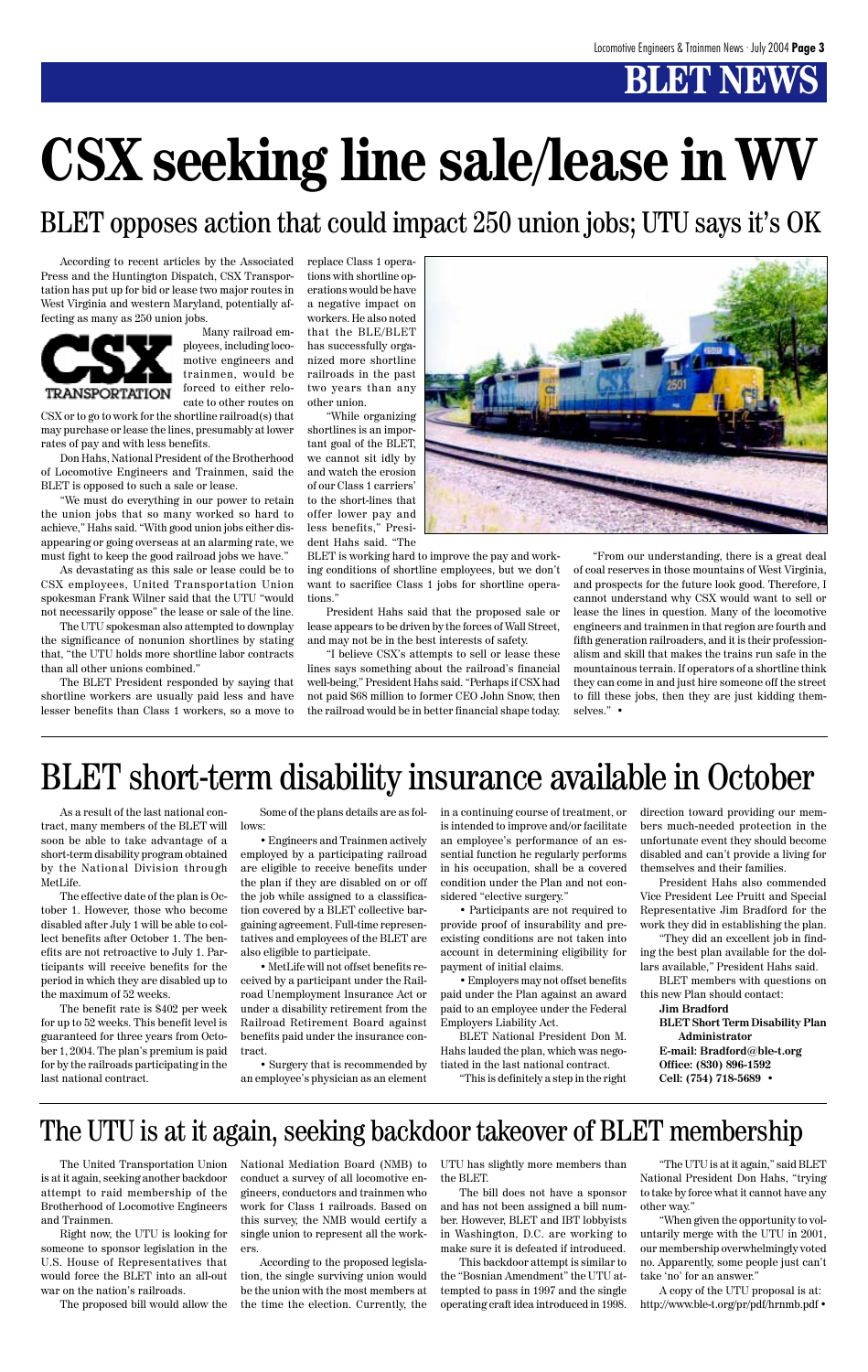# **BLET NEW**

# **CSX seeking line sale/lease in WV**

According to recent articles by the Associated Press and the Huntington Dispatch, CSX Transportation has put up for bid or lease two major routes in West Virginia and western Maryland, potentially affecting as many as 250 union jobs.



Many railroad employees, including locomotive engineers and trainmen, would be forced to either relocate to other routes on

CSX or to go to work for the shortline railroad(s) that may purchase or lease the lines, presumably at lower rates of pay and with less benefits.

Don Hahs, National President of the Brotherhood of Locomotive Engineers and Trainmen, said the BLET is opposed to such a sale or lease.

"We must do everything in our power to retain the union jobs that so many worked so hard to achieve," Hahs said. "With good union jobs either disappearing or going overseas at an alarming rate, we must fight to keep the good railroad jobs we have."

As devastating as this sale or lease could be to CSX employees, United Transportation Union spokesman Frank Wilner said that the UTU "would not necessarily oppose" the lease or sale of the line.

The UTU spokesman also attempted to downplay the significance of nonunion shortlines by stating that, "the UTU holds more shortline labor contracts than all other unions combined."

The BLET President responded by saying that shortline workers are usually paid less and have lesser benefits than Class 1 workers, so a move to replace Class 1 operations with shortline operations would be have a negative impact on workers. He also noted that the BLE/BLET has successfully organized more shortline railroads in the past two years than any other union.

"While organizing shortlines is an important goal of the BLET, we cannot sit idly by and watch the erosion of our Class 1 carriers' to the short-lines that offer lower pay and less benefits," President Hahs said. "The

BLET is working hard to improve the pay and working conditions of shortline employees, but we don't want to sacrifice Class 1 jobs for shortline operations."

President Hahs said that the proposed sale or lease appears to be driven by the forces of Wall Street, and may not be in the best interests of safety.

"I believe CSX's attempts to sell or lease these lines says something about the railroad's financial well-being," President Hahs said. "Perhaps if CSX had not paid \$68 million to former CEO John Snow, then the railroad would be in better financial shape today.



"From our understanding, there is a great deal of coal reserves in those mountains of West Virginia, and prospects for the future look good. Therefore, I cannot understand why CSX would want to sell or lease the lines in question. Many of the locomotive engineers and trainmen in that region are fourth and fifth generation railroaders, and it is their professionalism and skill that makes the trains run safe in the mountainous terrain. If operators of a shortline think they can come in and just hire someone off the street to fill these jobs, then they are just kidding themselves." •

# BLET short-term disability insurance available in October

As a result of the last national contract, many members of the BLET will soon be able to take advantage of a short-term disability program obtained by the National Division through MetLife.

The effective date of the plan is October 1. However, those who become disabled after July 1 will be able to collect benefits after October 1. The benefits are not retroactive to July 1. Participants will receive benefits for the period in which they are disabled up to the maximum of 52 weeks.

The benefit rate is \$402 per week for up to 52 weeks. This benefit level is guaranteed for three years from October 1, 2004. The plan's premium is paid for by the railroads participating in the last national contract.

Some of the plans details are as follows:

• Engineers and Trainmen actively employed by a participating railroad are eligible to receive benefits under the plan if they are disabled on or off the job while assigned to a classification covered by a BLET collective bargaining agreement. Full-time representatives and employees of the BLET are also eligible to participate.

• MetLife will not offset benefits received by a participant under the Railroad Unemployment Insurance Act or under a disability retirement from the Railroad Retirement Board against benefits paid under the insurance contract.

• Surgery that is recommended by an employee's physician as an element in a continuing course of treatment, or is intended to improve and/or facilitate an employee's performance of an essential function he regularly performs in his occupation, shall be a covered condition under the Plan and not considered "elective surgery."

• Participants are not required to provide proof of insurability and preexisting conditions are not taken into account in determining eligibility for payment of initial claims.

• Employers may not offset benefits paid under the Plan against an award paid to an employee under the Federal Employers Liability Act.

BLET National President Don M. Hahs lauded the plan, which was negotiated in the last national contract.

"This is definitely a step in the right

direction toward providing our members much-needed protection in the unfortunate event they should become disabled and can't provide a living for themselves and their families.

President Hahs also commended Vice President Lee Pruitt and Special Representative Jim Bradford for the work they did in establishing the plan.

"They did an excellent job in finding the best plan available for the dollars available," President Hahs said.

BLET members with questions on this new Plan should contact:

**Jim Bradford**

**BLET Short Term Disability Plan Administrator E-mail: Bradford@ble-t.org Office: (830) 896-1592 Cell: (754) 718-5689 •**

### The UTU is at it again, seeking backdoor takeover of BLET membership

The United Transportation Union is at it again, seeking another backdoor attempt to raid membership of the Brotherhood of Locomotive Engineers and Trainmen.

Right now, the UTU is looking for someone to sponsor legislation in the U.S. House of Representatives that would force the BLET into an all-out war on the nation's railroads.

The proposed bill would allow the

National Mediation Board (NMB) to conduct a survey of all locomotive engineers, conductors and trainmen who work for Class 1 railroads. Based on this survey, the NMB would certify a single union to represent all the workers.

According to the proposed legislation, the single surviving union would be the union with the most members at the time the election. Currently, the UTU has slightly more members than the BLET.

The bill does not have a sponsor and has not been assigned a bill number. However, BLET and IBT lobbyists in Washington, D.C. are working to make sure it is defeated if introduced.

This backdoor attempt is similar to the "Bosnian Amendment" the UTU attempted to pass in 1997 and the single operating craft idea introduced in 1998.

"The UTU is at it again," said BLET National President Don Hahs, "trying to take by force what it cannot have any other way."

"When given the opportunity to voluntarily merge with the UTU in 2001, our membership overwhelmingly voted no. Apparently, some people just can't take 'no' for an answer."

A copy of the UTU proposal is at: http://www.ble-t.org/pr/pdf/hrnmb.pdf •

BLET opposes action that could impact 250 union jobs; UTU says it's OK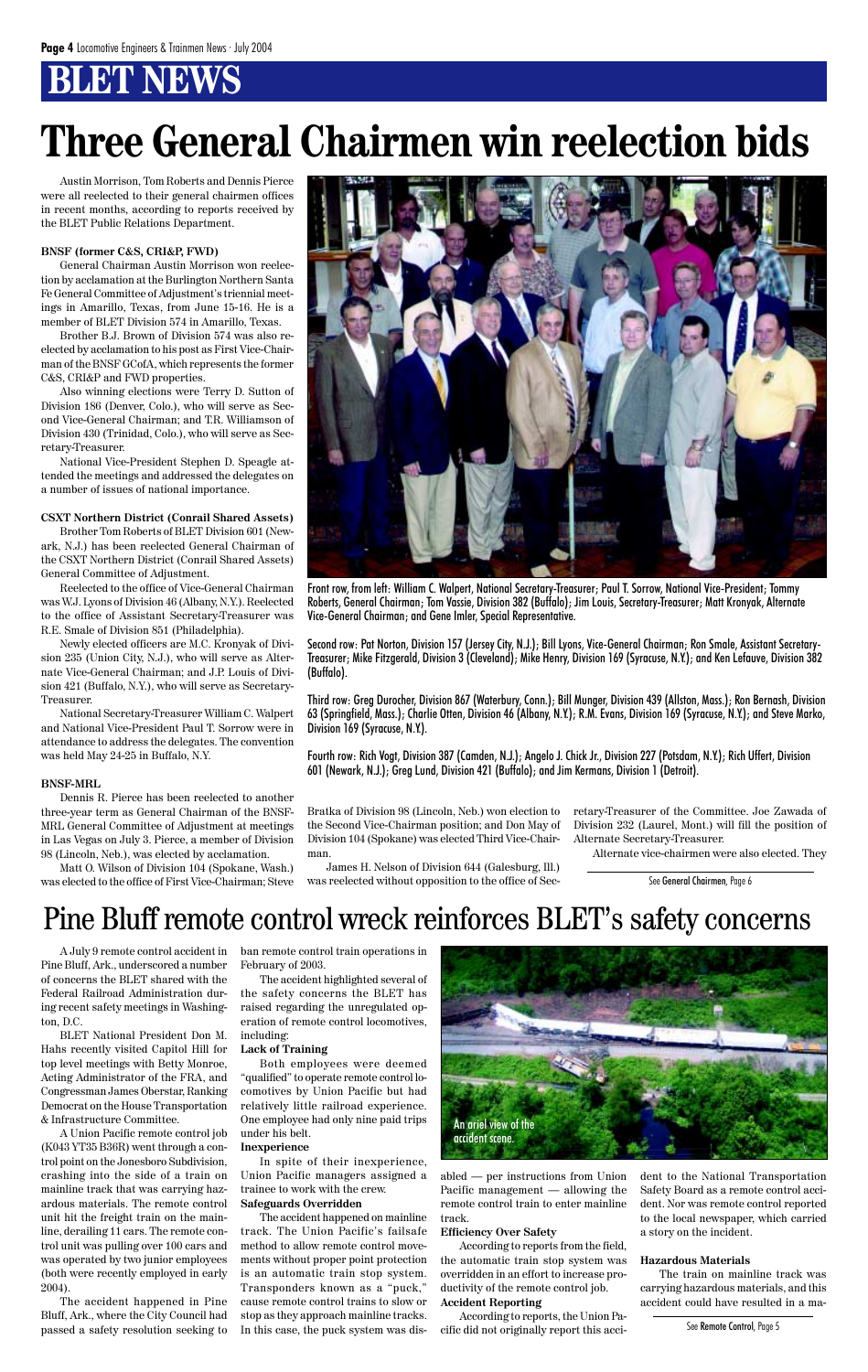# **BLENEWS**

Austin Morrison, Tom Roberts and Dennis Pierce were all reelected to their general chairmen offices in recent months, according to reports received by the BLET Public Relations Department.

#### **BNSF (former C&S, CRI&P, FWD)**

General Chairman Austin Morrison won reelection by acclamation at the Burlington Northern Santa Fe General Committee of Adjustment's triennial meetings in Amarillo, Texas, from June 15-16. He is a member of BLET Division 574 in Amarillo, Texas.

Brother B.J. Brown of Division 574 was also reelected by acclamation to his post as First Vice-Chairman of the BNSF GCofA, which represents the former C&S, CRI&P and FWD properties.

Also winning elections were Terry D. Sutton of Division 186 (Denver, Colo.), who will serve as Second Vice-General Chairman; and T.R. Williamson of Division 430 (Trinidad, Colo.), who will serve as Secretary-Treasurer.

National Vice-President Stephen D. Speagle attended the meetings and addressed the delegates on a number of issues of national importance.

#### **CSXT Northern District (Conrail Shared Assets)**

Brother Tom Roberts of BLET Division 601 (Newark, N.J.) has been reelected General Chairman of the CSXT Northern District (Conrail Shared Assets) General Committee of Adjustment.

Reelected to the office of Vice-General Chairman was W.J. Lyons of Division 46 (Albany, N.Y.). Reelected to the office of Assistant Secretary-Treasurer was R.E. Smale of Division 851 (Philadelphia).

Newly elected officers are M.C. Kronyak of Division 235 (Union City, N.J.), who will serve as Alternate Vice-General Chairman; and J.P. Louis of Division 421 (Buffalo, N.Y.), who will serve as Secretary-Treasurer.

National Secretary-Treasurer William C. Walpert and National Vice-President Paul T. Sorrow were in attendance to address the delegates. The convention was held May 24-25 in Buffalo, N.Y.

#### **BNSF-MRL**

Dennis R. Pierce has been reelected to another three-year term as General Chairman of the BNSF-MRL General Committee of Adjustment at meetings in Las Vegas on July 3. Pierce, a member of Division 98 (Lincoln, Neb.), was elected by acclamation.

Matt O. Wilson of Division 104 (Spokane, Wash.) was elected to the office of First Vice-Chairman; Steve



Bratka of Division 98 (Lincoln, Neb.) won election to the Second Vice-Chairman position; and Don May of Division 104 (Spokane) was elected Third Vice-Chairman.

James H. Nelson of Division 644 (Galesburg, Ill.) was reelected without opposition to the office of Secretary-Treasurer of the Committee. Joe Zawada of Division 232 (Laurel, Mont.) will fill the position of Alternate Secretary-Treasurer.

Alternate vice-chairmen were also elected. They

A July 9 remote control accident in Pine Bluff, Ark., underscored a number of concerns the BLET shared with the Federal Railroad Administration during recent safety meetings in Washing-

ton, D.C.

BLET National President Don M. Hahs recently visited Capitol Hill for top level meetings with Betty Monroe, Acting Administrator of the FRA, and Congressman James Oberstar, Ranking Democrat on the House Transportation & Infrastructure Committee.

A Union Pacific remote control job (K043 YT35 B36R) went through a control point on the Jonesboro Subdivision, crashing into the side of a train on mainline track that was carrying hazardous materials. The remote control unit hit the freight train on the mainline, derailing 11 cars. The remote control unit was pulling over 100 cars and was operated by two junior employees (both were recently employed in early 2004).

The accident happened in Pine Bluff, Ark., where the City Council had passed a safety resolution seeking to ban remote control train operations in February of 2003.

The accident highlighted several of the safety concerns the BLET has raised regarding the unregulated operation of remote control locomotives, including:

#### **Lack of Training**

Both employees were deemed "qualified" to operate remote control locomotives by Union Pacific but had relatively little railroad experience. One employee had only nine paid trips under his belt.

#### **Inexperience**

In spite of their inexperience, Union Pacific managers assigned a trainee to work with the crew. **Safeguards Overridden**

The accident happened on mainline track. The Union Pacific's failsafe method to allow remote control movements without proper point protection is an automatic train stop system. Transponders known as a "puck," cause remote control trains to slow or stop as they approach mainline tracks. In this case, the puck system was disabled — per instructions from Union Pacific management — allowing the remote control train to enter mainline track.

#### **Efficiency Over Safety**

According to reports from the field, the automatic train stop system was overridden in an effort to increase productivity of the remote control job. **Accident Reporting**

According to reports, the Union Pacific did not originally report this acci-

# **Three General Chairmen win reelection bids**

dent to the National Transportation Safety Board as a remote control accident. Nor was remote control reported to the local newspaper, which carried a story on the incident.

#### **Hazardous Materials**

The train on mainline track was carrying hazardous materials, and this accident could have resulted in a ma-

### Pine Bluff remote control wreck reinforces BLET's safety concerns

Front row, from left: William C. Walpert, National Secretary-Treasurer; Paul T. Sorrow, National Vice-President; Tommy Roberts, General Chairman; Tom Vassie, Division 382 (Buffalo); Jim Louis, Secretary-Treasurer; Matt Kronyak, Alternate Vice-General Chairman; and Gene Imler, Special Representative.

Second row: Pat Norton, Division 157 (Jersey City, N.J.); Bill Lyons, Vice-General Chairman; Ron Smale, Assistant Secretary-Treasurer; Mike Fitzgerald, Division 3 (Cleveland); Mike Henry, Division 169 (Syracuse, N.Y.); and Ken Lefauve, Division 382 (Buffalo).

Third row: Greg Durocher, Division 867 (Waterbury, Conn.); Bill Munger, Division 439 (Allston, Mass.); Ron Bernash, Division 63 (Springfield, Mass.); Charlie Otten, Division 46 (Albany, N.Y.); R.M. Evans, Division 169 (Syracuse, N.Y.); and Steve Marko, Division 169 (Syracuse, N.Y.).

Fourth row: Rich Vogt, Division 387 (Camden, N.J.); Angelo J. Chick Jr., Division 227 (Potsdam, N.Y.); Rich Uffert, Division 601 (Newark, N.J.); Greg Lund, Division 421 (Buffalo); and Jim Kermans, Division 1 (Detroit).

See General Chairmen, Page 6

See Remote Control, Page 5

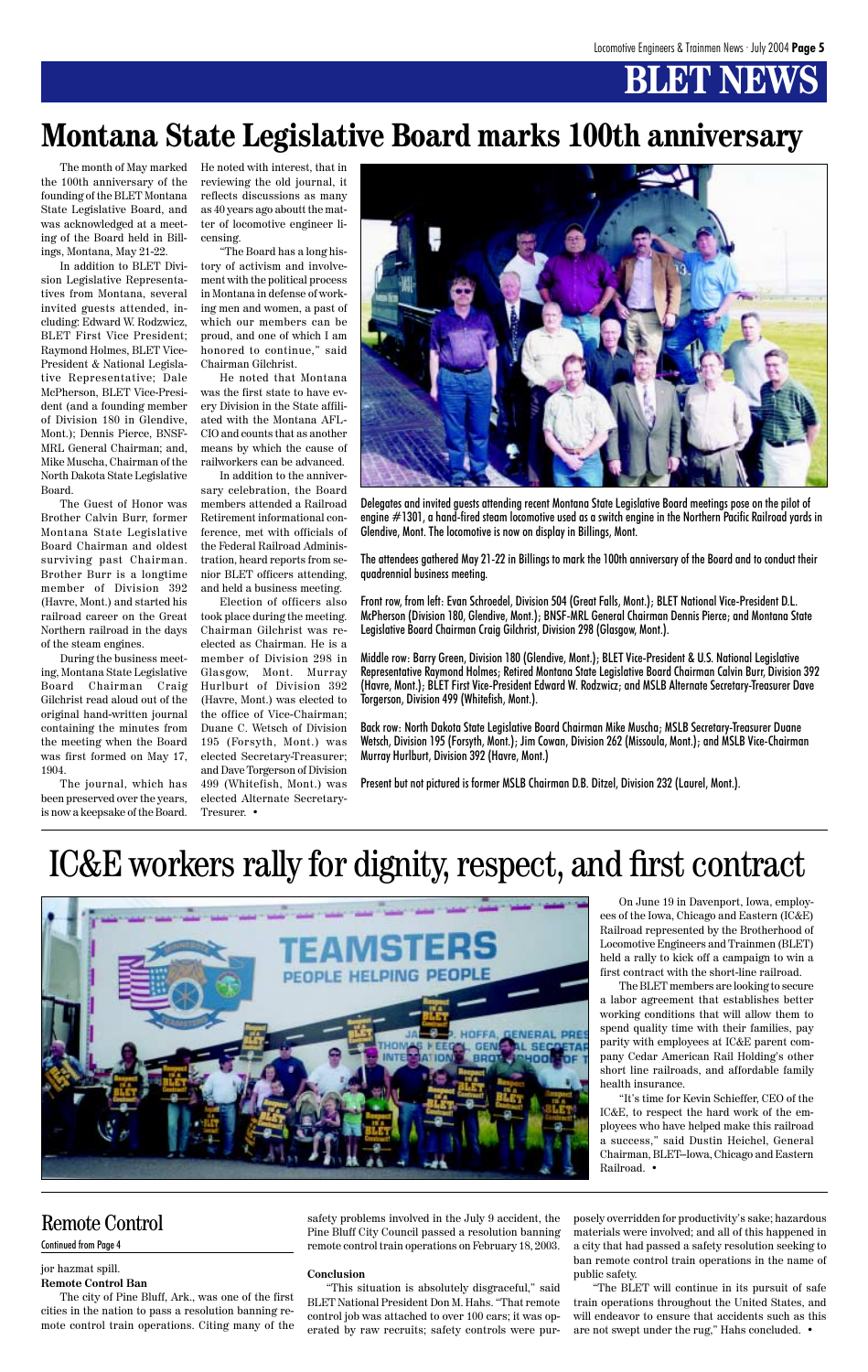# **BT N**

The month of May marked the 100th anniversary of the founding of the BLET Montana State Legislative Board, and was acknowledged at a meeting of the Board held in Billings, Montana, May 21-22.

In addition to BLET Division Legislative Representatives from Montana, several invited guests attended, including: Edward W. Rodzwicz, BLET First Vice President; Raymond Holmes, BLET Vice-President & National Legislative Representative; Dale McPherson, BLET Vice-President (and a founding member of Division 180 in Glendive, Mont.); Dennis Pierce, BNSF-MRL General Chairman; and, Mike Muscha, Chairman of the North Dakota State Legislative Board.

The Guest of Honor was Brother Calvin Burr, former Montana State Legislative Board Chairman and oldest surviving past Chairman. Brother Burr is a longtime member of Division 392 (Havre, Mont.) and started his railroad career on the Great Northern railroad in the days of the steam engines.

During the business meeting, Montana State Legislative Board Chairman Craig Gilchrist read aloud out of the original hand-written journal containing the minutes from the meeting when the Board was first formed on May 17, 1904.

The journal, which has been preserved over the years, is now a keepsake of the Board. He noted with interest, that in reviewing the old journal, it reflects discussions as many as 40 years ago aboutt the matter of locomotive engineer licensing.

"The Board has a long history of activism and involvement with the political process in Montana in defense of working men and women, a past of which our members can be proud, and one of which I am honored to continue," said Chairman Gilchrist.

He noted that Montana was the first state to have every Division in the State affiliated with the Montana AFL-CIO and counts that as another means by which the cause of railworkers can be advanced.

In addition to the anniversary celebration, the Board members attended a Railroad Retirement informational conference, met with officials of the Federal Railroad Administration, heard reports from senior BLET officers attending, and held a business meeting.

Election of officers also took place during the meeting. Chairman Gilchrist was reelected as Chairman. He is a member of Division 298 in Glasgow, Mont. Murray Hurlburt of Division 392 (Havre, Mont.) was elected to the office of Vice-Chairman; Duane C. Wetsch of Division 195 (Forsyth, Mont.) was elected Secretary-Treasurer; and Dave Torgerson of Division 499 (Whitefish, Mont.) was elected Alternate Secretary-Tresurer. •

### **Montana State Legislative Board marks 100th anniversary**



Delegates and invited guests attending recent Montana State Legislative Board meetings pose on the pilot of engine #1301, a hand-fired steam locomotive used as a switch engine in the Northern Pacific Railroad yards in Glendive, Mont. The locomotive is now on display in Billings, Mont.

The attendees gathered May 21-22 in Billings to mark the 100th anniversary of the Board and to conduct their quadrennial business meeting.

Front row, from left: Evan Schroedel, Division 504 (Great Falls, Mont.); BLET National Vice-President D.L. McPherson (Division 180, Glendive, Mont.); BNSF-MRL General Chairman Dennis Pierce; and Montana State Legislative Board Chairman Craig Gilchrist, Division 298 (Glasgow, Mont.).

Middle row: Barry Green, Division 180 (Glendive, Mont.); BLET Vice-President & U.S. National Legislative Representative Raymond Holmes; Retired Montana State Legislative Board Chairman Calvin Burr, Division 392 (Havre, Mont.); BLET First Vice-President Edward W. Rodzwicz; and MSLB Alternate Secretary-Treasurer Dave Torgerson, Division 499 (Whitefish, Mont.).

Back row: North Dakota State Legislative Board Chairman Mike Muscha; MSLB Secretary-Treasurer Duane Wetsch, Division 195 (Forsyth, Mont.); Jim Cowan, Division 262 (Missoula, Mont.); and MSLB Vice-Chairman Murray Hurlburt, Division 392 (Havre, Mont.)

Present but not pictured is former MSLB Chairman D.B. Ditzel, Division 232 (Laurel, Mont.).

On June 19 in Davenport, Iowa, employees of the Iowa, Chicago and Eastern (IC&E) Railroad represented by the Brotherhood of Locomotive Engineers and Trainmen (BLET) held a rally to kick off a campaign to win a first contract with the short-line railroad.

The BLET members are looking to secure a labor agreement that establishes better working conditions that will allow them to spend quality time with their families, pay parity with employees at IC&E parent company Cedar American Rail Holding's other short line railroads, and affordable family health insurance.

"It's time for Kevin Schieffer, CEO of the IC&E, to respect the hard work of the employees who have helped make this railroad a success," said Dustin Heichel, General Chairman, BLET--Iowa, Chicago and Eastern Railroad. •

# IC&E workers rally for dignity, respect, and first contract



#### jor hazmat spill.

#### **Remote Control Ban**

The city of Pine Bluff, Ark., was one of the first cities in the nation to pass a resolution banning remote control train operations. Citing many of the safety problems involved in the July 9 accident, the Pine Bluff City Council passed a resolution banning remote control train operations on February 18, 2003.

#### **Conclusion**

"This situation is absolutely disgraceful," said BLET National President Don M. Hahs. "That remote control job was attached to over 100 cars; it was operated by raw recruits; safety controls were purposely overridden for productivity's sake; hazardous materials were involved; and all of this happened in a city that had passed a safety resolution seeking to ban remote control train operations in the name of public safety.

"The BLET will continue in its pursuit of safe train operations throughout the United States, and will endeavor to ensure that accidents such as this are not swept under the rug," Hahs concluded. •

### Remote Control

#### Continued from Page 4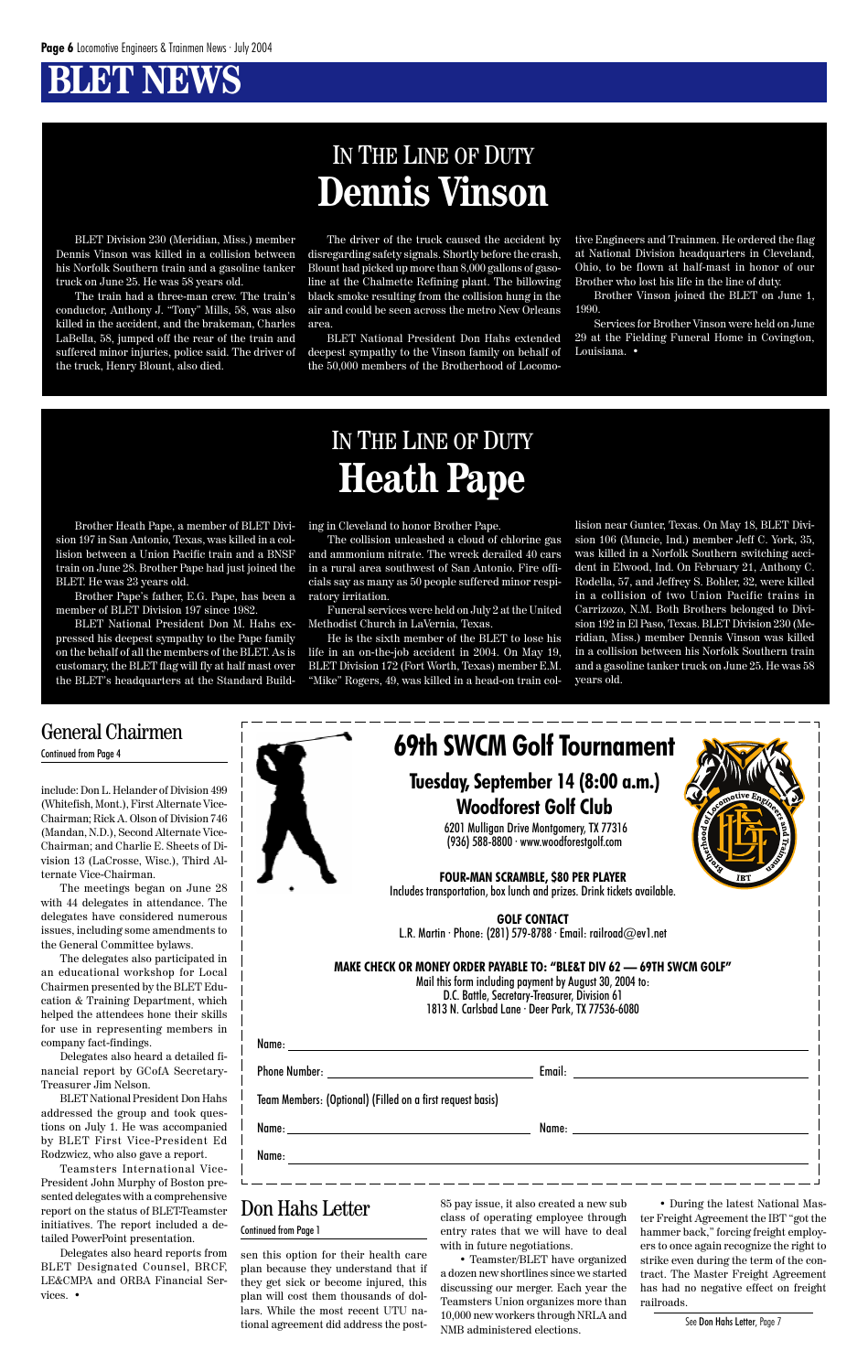### **BT NEWS**

BLET Division 230 (Meridian, Miss.) member Dennis Vinson was killed in a collision between his Norfolk Southern train and a gasoline tanker truck on June 25. He was 58 years old.

The train had a three-man crew. The train's conductor, Anthony J. "Tony" Mills, 58, was also killed in the accident, and the brakeman, Charles LaBella, 58, jumped off the rear of the train and suffered minor injuries, police said. The driver of the truck, Henry Blount, also died.

The driver of the truck caused the accident by disregarding safety signals. Shortly before the crash, Blount had picked up more than 8,000 gallons of gasoline at the Chalmette Refining plant. The billowing black smoke resulting from the collision hung in the air and could be seen across the metro New Orleans area.

BLET National President Don Hahs extended deepest sympathy to the Vinson family on behalf of the 50,000 members of the Brotherhood of Locomo-

### IN THE LINE OF DUTY **Dennis Vinson**

tive Engineers and Trainmen. He ordered the flag at National Division headquarters in Cleveland, Ohio, to be flown at half-mast in honor of our Brother who lost his life in the line of duty.

Brother Vinson joined the BLET on June 1, 1990.

Services for Brother Vinson were held on June 29 at the Fielding Funeral Home in Covington, Louisiana. •

Brother Heath Pape, a member of BLET Division 197 in San Antonio, Texas, was killed in a collision between a Union Pacific train and a BNSF train on June 28. Brother Pape had just joined the BLET. He was 23 years old.

Brother Pape's father, E.G. Pape, has been a member of BLET Division 197 since 1982.

BLET National President Don M. Hahs expressed his deepest sympathy to the Pape family on the behalf of all the members of the BLET. As is customary, the BLET flag will fly at half mast over the BLET's headquarters at the Standard Building in Cleveland to honor Brother Pape.

The collision unleashed a cloud of chlorine gas and ammonium nitrate. The wreck derailed 40 cars in a rural area southwest of San Antonio. Fire officials say as many as 50 people suffered minor respiratory irritation.

Funeral services were held on July 2 at the United Methodist Church in LaVernia, Texas.

He is the sixth member of the BLET to lose his life in an on-the-job accident in 2004. On May 19, BLET Division 172 (Fort Worth, Texas) member E.M. "Mike" Rogers, 49, was killed in a head-on train col-

### IN THE LINE OF DUTY **Heath Pape**

lision near Gunter, Texas. On May 18, BLET Division 106 (Muncie, Ind.) member Jeff C. York, 35, was killed in a Norfolk Southern switching accident in Elwood, Ind. On February 21, Anthony C. Rodella, 57, and Jeffrey S. Bohler, 32, were killed in a collision of two Union Pacific trains in Carrizozo, N.M. Both Brothers belonged to Division 192 in El Paso, Texas. BLET Division 230 (Meridian, Miss.) member Dennis Vinson was killed in a collision between his Norfolk Southern train and a gasoline tanker truck on June 25. He was 58 years old.

include: Don L. Helander of Division 499 (Whitefish, Mont.), First Alternate Vice-Chairman; Rick A. Olson of Division 746 (Mandan, N.D.), Second Alternate Vice-Chairman; and Charlie E. Sheets of Division 13 (LaCrosse, Wisc.), Third Alternate Vice-Chairman.

The meetings began on June 28 with 44 delegates in attendance. The delegates have considered numerous issues, including some amendments to the General Committee bylaws.

The delegates also participated in an educational workshop for Local Chairmen presented by the BLET Education & Training Department, which helped the attendees hone their skills for use in representing members in company fact-findings.

Delegates also heard a detailed financial report by GCofA Secretary-Treasurer Jim Nelson.

BLET National President Don Hahs addressed the group and took questions on July 1. He was accompanied by BLET First Vice-President Ed Rodzwicz, who also gave a report.

Teamsters International Vice-President John Murphy of Boston presented delegates with a comprehensive report on the status of BLET-Teamster initiatives. The report included a detailed PowerPoint presentation.

Delegates also heard reports from BLET Designated Counsel, BRCF, LE&CMPA and ORBA Financial Services. •



|                                                                                                                | <b>1010 N. Curisbud Euric Deci Turk, IA 77500-0000</b> |
|----------------------------------------------------------------------------------------------------------------|--------------------------------------------------------|
|                                                                                                                |                                                        |
|                                                                                                                |                                                        |
| Team Members: (Optional) (Filled on a first request basis)                                                     |                                                        |
| Name: Name and the second contract of the second contract of the second contract of the second contract of the | Name: ______________________________                   |
| Name:                                                                                                          |                                                        |
|                                                                                                                |                                                        |

#### General Chairmen Continued from Page 4

sen this option for their health care plan because they understand that if they get sick or become injured, this plan will cost them thousands of dollars. While the most recent UTU national agreement did address the post-

85 pay issue, it also created a new sub class of operating employee through entry rates that we will have to deal with in future negotiations.

• Teamster/BLET have organized a dozen new shortlines since we started discussing our merger. Each year the Teamsters Union organizes more than 10,000 new workers through NRLA and NMB administered elections.

• During the latest National Master Freight Agreement the IBT "got the hammer back," forcing freight employers to once again recognize the right to strike even during the term of the contract. The Master Freight Agreement has had no negative effect on freight railroads.

#### Don Hahs Letter Continued from Page 1

See Don Hahs Letter, Page 7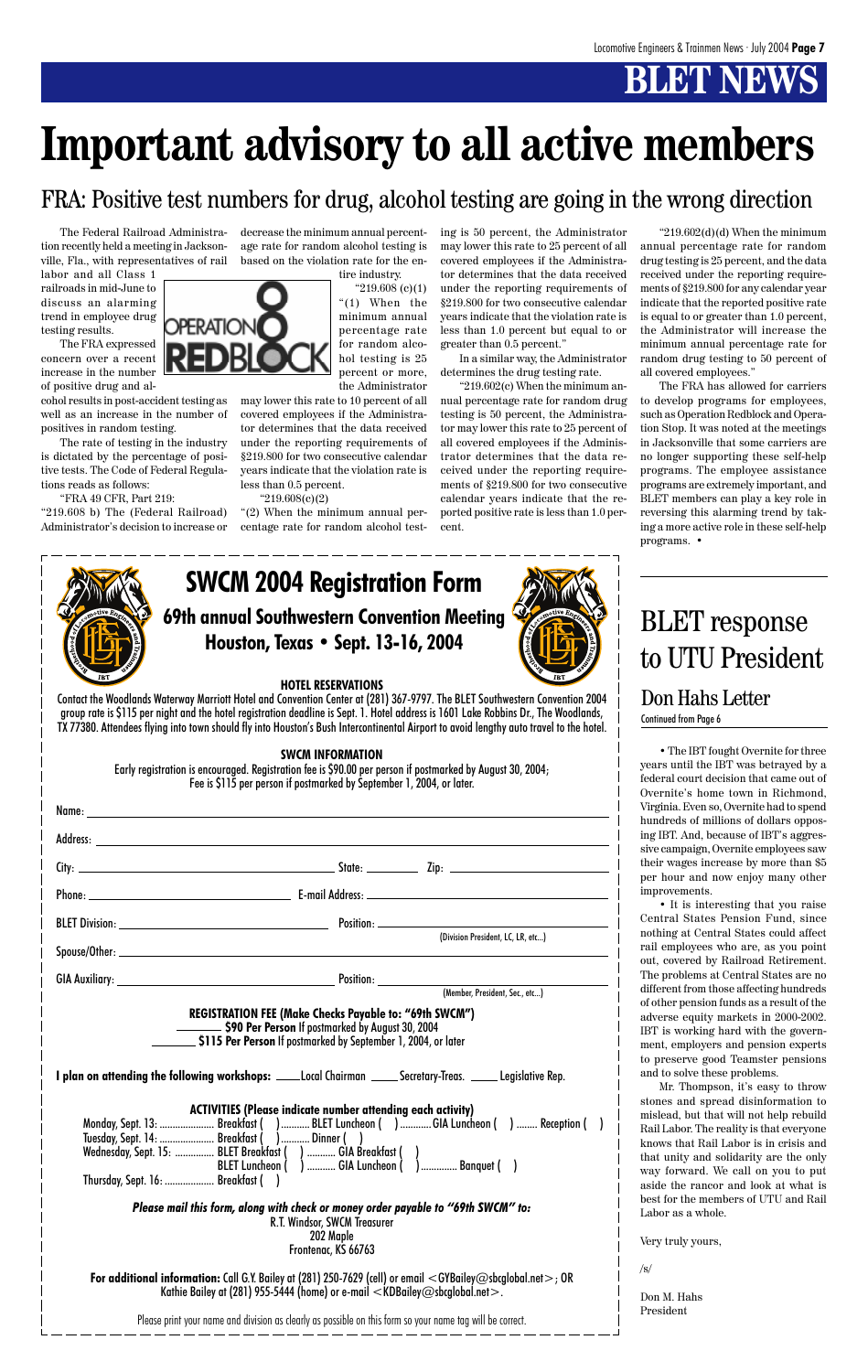# **BLET NEWS**

**69th annual Southwestern Convention Meeting Houston, Texas • Sept. 13-16, 2004**

# **SWCM 2004 Registration Form**

#### **HOTEL RESERVATIONS**

Contact the Woodlands Waterway Marriott Hotel and Convention Center at (281) 367-9797. The BLET Southwestern Convention 2004 group rate is \$115 per night and the hotel registration deadline is Sept. 1. Hotel address is 1601 Lake Robbins Dr., The Woodlands, TX 77380. Attendees flying into town should fly into Houston's Bush Intercontinental Airport to avoid lengthy auto travel to the hotel.

#### **SWCM INFORMATION**

Early registration is encouraged. Registration fee is \$90.00 per person if postmarked by August 30, 2004; Fee is \$115 per person if postmarked by September 1, 2004, or later.

**For additional information:** Call G.Y. Bailey at (281) 250-7629 (cell) or email <GYBailey@sbcglobal.net>; OR Kathie Bailey at (281) 955-5444 (home) or e-mail  $\lt$ KDBailey@sbcglobal.net $>$ .

**REGISTRATION FEE (Make Checks Payable to: "69th SWCM") \$90 Per Person** If postmarked by August 30, 2004 **\$115 Per Person** If postmarked by September 1, 2004, or later

**I plan on attending the following workshops:** Local Chairman Land Secretary-Treas. Legislative Rep.

**ACTIVITIES (Please indicate number attending each activity)** Monday, Sept. 13: ........................ Breakfast ( ) ............ BLET Luncheon ( ) .......... GIA Luncheon ( ) ........ Reception ( ) Tuesday, Sept. 14: ..................... Breakfast ( )........... Dinner ( ) Wednesday, Sept. 15: ................ BLET Breakfast ( ) ............ GIA Breakfast ( )<br>BLET Luncheon ( ) ............ GIA Luncheon ( ) .............. Banquet ( ) BLET Luncheon ( ) ............ GIA Luncheon ( Thursday, Sept. 16: ................... Breakfast ( )

|  | (Division President, LC, LR, etc)                                                                                                                                                                                                                                                                                                                                   |
|--|---------------------------------------------------------------------------------------------------------------------------------------------------------------------------------------------------------------------------------------------------------------------------------------------------------------------------------------------------------------------|
|  | $\begin{picture}(20,10) \put(0,0){\vector(1,0){100}} \put(15,0){\vector(1,0){100}} \put(15,0){\vector(1,0){100}} \put(15,0){\vector(1,0){100}} \put(15,0){\vector(1,0){100}} \put(15,0){\vector(1,0){100}} \put(15,0){\vector(1,0){100}} \put(15,0){\vector(1,0){100}} \put(15,0){\vector(1,0){100}} \put(15,0){\vector(1,0){100}} \put(15,0){\vector(1,0){100}} \$ |
|  | (Member, President, Sec., etc)                                                                                                                                                                                                                                                                                                                                      |

" $219.608$  (c)(1) "(1) When the minimum annual percentage rate for random alcohol testing is 25 percent or more, the Administrator

*Please mail this form, along with check or money order payable to "69th SWCM" to:* R.T. Windsor, SWCM Treasurer 202 Maple Frontenac, KS 66763

Please print your name and division as clearly as possible on this form so your name tag will be correct.

The Federal Railroad Administration recently held a meeting in Jacksonville, Fla., with representatives of rail

" $219.602(d)(d)$  When the minimum annual percentage rate for random drug testing is 25 percent, and the data received under the reporting requirements of §219.800 for any calendar year indicate that the reported positive rate is equal to or greater than 1.0 percent, the Administrator will increase the minimum annual percentage rate for random drug testing to 50 percent of all covered employees."

labor and all Class 1 railroads in mid-June to discuss an alarming trend in employee drug testing results.

The FRA expressed concern over a recent increase in the number of positive drug and al-

cohol results in post-accident testing as well as an increase in the number of positives in random testing.

The rate of testing in the industry is dictated by the percentage of positive tests. The Code of Federal Regulations reads as follows:

"FRA 49 CFR, Part 219:

"219.608 b) The (Federal Railroad) Administrator's decision to increase or



may lower this rate to 10 percent of all covered employees if the Administrator determines that the data received under the reporting requirements of §219.800 for two consecutive calendar years indicate that the violation rate is less than 0.5 percent.

"219.608(c)(2)

"(2) When the minimum annual percentage rate for random alcohol testing is 50 percent, the Administrator may lower this rate to 25 percent of all covered employees if the Administrator determines that the data received under the reporting requirements of §219.800 for two consecutive calendar years indicate that the violation rate is less than 1.0 percent but equal to or greater than 0.5 percent."

In a similar way, the Administrator determines the drug testing rate.

"219.602(c) When the minimum annual percentage rate for random drug testing is 50 percent, the Administrator may lower this rate to 25 percent of all covered employees if the Administrator determines that the data received under the reporting requirements of §219.800 for two consecutive calendar years indicate that the reported positive rate is less than 1.0 percent.

The FRA has allowed for carriers to develop programs for employees, such as Operation Redblock and Operation Stop. It was noted at the meetings in Jacksonville that some carriers are no longer supporting these self-help programs. The employee assistance programs are extremely important, and BLET members can play a key role in reversing this alarming trend by taking a more active role in these self-help programs. •



### FRA: Positive test numbers for drug, alcohol testing are going in the wrong direction

# **Important advisory to all active members**

### Don Hahs Letter

Continued from Page 6

# BLET response to UTU President

• The IBT fought Overnite for three years until the IBT was betrayed by a federal court decision that came out of Overnite's home town in Richmond, Virginia. Even so, Overnite had to spend hundreds of millions of dollars opposing IBT. And, because of IBT's aggressive campaign, Overnite employees saw their wages increase by more than \$5 per hour and now enjoy many other improvements.

• It is interesting that you raise Central States Pension Fund, since nothing at Central States could affect rail employees who are, as you point out, covered by Railroad Retirement. The problems at Central States are no different from those affecting hundreds of other pension funds as a result of the adverse equity markets in 2000-2002. IBT is working hard with the government, employers and pension experts to preserve good Teamster pensions and to solve these problems. Mr. Thompson, it's easy to throw stones and spread disinformation to mislead, but that will not help rebuild Rail Labor. The reality is that everyone knows that Rail Labor is in crisis and that unity and solidarity are the only way forward. We call on you to put aside the rancor and look at what is best for the members of UTU and Rail Labor as a whole.

```
Very truly yours,
/s/
Don M. Hahs
President
```